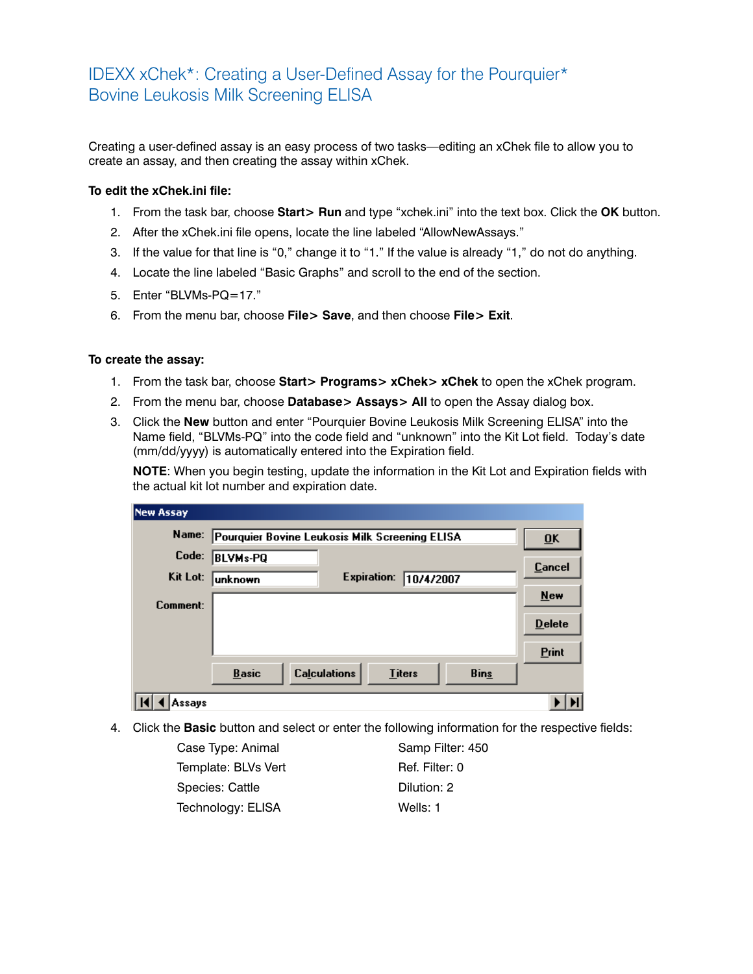## IDEXX xChek\*: Creating a User-Defined Assay for the Pourquier\* Bovine Leukosis Milk Screening ELISA

Creating a user-defined assay is an easy process of two tasks—editing an xChek file to allow you to create an assay, and then creating the assay within xChek.

## **To edit the xChek.ini file:**

- 1. From the task bar, choose **Start> Run** and type "xchek.ini" into the text box. Click the **OK** button.
- 2. After the xChek.ini file opens, locate the line labeled "AllowNewAssays."
- 3. If the value for that line is "0," change it to "1." If the value is already "1," do not do anything.
- 4. Locate the line labeled "Basic Graphs" and scroll to the end of the section.
- 5. Enter "BLVMs-PQ=17."
- 6. From the menu bar, choose **File> Save**, and then choose **File> Exit**.

## **To create the assay:**

- 1. From the task bar, choose **Start> Programs> xChek> xChek** to open the xChek program.
- 2. From the menu bar, choose **Database> Assays> All** to open the Assay dialog box.
- 3. Click the **New** button and enter "Pourquier Bovine Leukosis Milk Screening ELISA" into the Name field, "BLVMs-PQ" into the code field and "unknown" into the Kit Lot field. Today's date (mm/dd/yyyy) is automatically entered into the Expiration field.

**NOTE:** When you begin testing, update the information in the Kit Lot and Expiration fields with the actual kit lot number and expiration date.

| <b>New Assay</b> |                                                |                     |               |             |                           |
|------------------|------------------------------------------------|---------------------|---------------|-------------|---------------------------|
| Name:            | Pourquier Bovine Leukosis Milk Screening ELISA |                     |               |             | $\overline{\mathbf{0}}$ K |
| Code:            | <b>BLVMs-PQ</b>                                |                     |               |             | Cancel                    |
| Kit Lot:         | lunknown                                       | <b>Expiration:</b>  | 10/4/2007     |             |                           |
| Comment:         |                                                |                     |               |             | New                       |
|                  |                                                |                     |               |             | <b>Delete</b>             |
|                  |                                                |                     |               |             | Print                     |
|                  | <b>Basic</b>                                   | <b>Calculations</b> | <b>Titers</b> | <b>Bins</b> |                           |
| Assays           |                                                |                     |               |             |                           |

4. Click the **Basic** button and select or enter the following information for the respective fields:

Case Type: Animal Samp Filter: 450 Template: BLVs Vert Ref. Filter: 0 Species: Cattle Dilution: 2 Technology: ELISA Wells: 1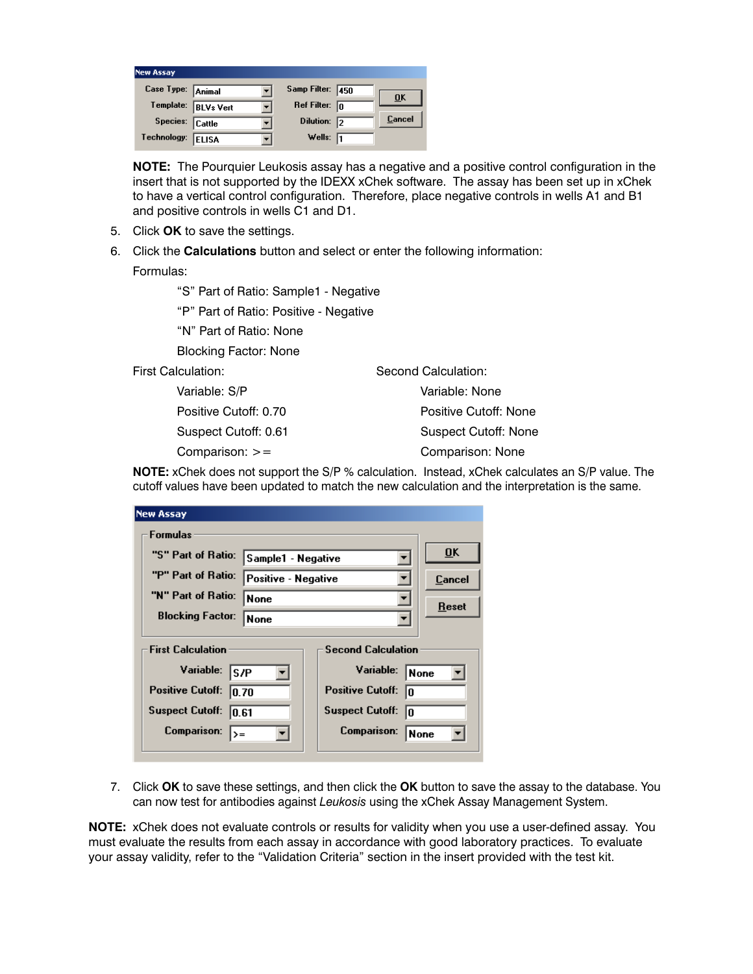| <b>New Assay</b>  |                     |                         |                           |
|-------------------|---------------------|-------------------------|---------------------------|
| Case Type: Animal |                     | Samp Filter: 450        | $\overline{\mathbf{0}}$ K |
|                   | Template: BLVs Vert | Ref Filter: $\boxed{0}$ |                           |
| Species: Cattle   |                     | Dilution: 2             | Cancel                    |
| Technology: ELISA |                     | Wells: $\sqrt{1}$       |                           |

**NOTE:** The Pourquier Leukosis assay has a negative and a positive control configuration in the insert that is not supported by the IDEXX xChek software. The assay has been set up in xChek to have a vertical control configuration. Therefore, place negative controls in wells A1 and B1 and positive controls in wells C1 and D1.

- 5. Click **OK** to save the settings.
- 6. Click the **Calculations** button and select or enter the following information:

Formulas:

"S" Part of Ratio: Sample1 - Negative

"P" Part of Ratio: Positive - Negative

"N" Part of Ratio: None

Blocking Factor: None

First Calculation:

 Variable: S/P Positive Cutoff: 0.70 Suspect Cutoff: 0.61 Comparison: >=

Second Calculation: Variable: None Positive Cutoff: None Suspect Cutoff: None Comparison: None

**NOTE:** xChek does not support the S/P % calculation. Instead, xChek calculates an S/P value. The cutoff values have been updated to match the new calculation and the interpretation is the same.

| <b>New Assay</b>                          |                               |
|-------------------------------------------|-------------------------------|
| <b>Formulas</b>                           |                               |
| "S" Part of Ratio:<br>Sample1 - Negative  | $\overline{\mathbf{0}}$ K     |
| "P" Part of Ratio:<br>Positive - Negative | Cancel                        |
| "N" Part of Ratio:<br>None                | Reset                         |
| <b>Blocking Factor:</b><br><b>None</b>    |                               |
| <b>First Calculation</b>                  | <b>Second Calculation</b>     |
| Variable:<br>ls /P                        | Variable:<br> None            |
| <b>Positive Cutoff:</b><br>10.70          | <b>Positive Cutoff:</b><br>lo |
| <b>Suspect Cutoff:</b><br>10.61           | <b>Suspect Cutoff:</b><br>In  |
| <b>Comparison:</b><br>$>=$                | <b>Comparison:</b><br>None    |
|                                           |                               |

7. Click **OK** to save these settings, and then click the **OK** button to save the assay to the database. You can now test for antibodies against *Leukosis* using the xChek Assay Management System.

**NOTE:** xChek does not evaluate controls or results for validity when you use a user-defined assay. You must evaluate the results from each assay in accordance with good laboratory practices. To evaluate your assay validity, refer to the "Validation Criteria" section in the insert provided with the test kit.